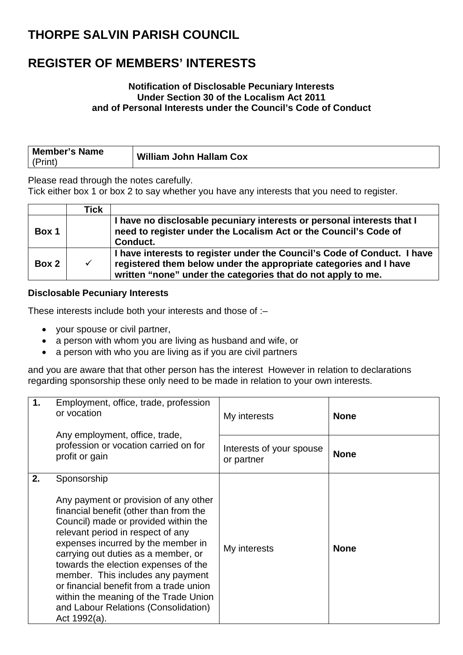### **REGISTER OF MEMBERS' INTERESTS**

#### **Notification of Disclosable Pecuniary Interests Under Section 30 of the Localism Act 2011 and of Personal Interests under the Council's Code of Conduct**

| <b>Member's Name</b> |                                |  |
|----------------------|--------------------------------|--|
|                      | <b>William John Hallam Cox</b> |  |

Please read through the notes carefully.

Tick either box 1 or box 2 to say whether you have any interests that you need to register.

|       | Tick         |                                                                                                                                                                                                               |
|-------|--------------|---------------------------------------------------------------------------------------------------------------------------------------------------------------------------------------------------------------|
| Box 1 |              | I have no disclosable pecuniary interests or personal interests that I<br>need to register under the Localism Act or the Council's Code of<br>Conduct.                                                        |
| Box 2 | $\checkmark$ | I have interests to register under the Council's Code of Conduct. I have<br>registered them below under the appropriate categories and I have<br>written "none" under the categories that do not apply to me. |

#### **Disclosable Pecuniary Interests**

These interests include both your interests and those of :–

- your spouse or civil partner,
- a person with whom you are living as husband and wife, or
- a person with who you are living as if you are civil partners

and you are aware that that other person has the interest However in relation to declarations regarding sponsorship these only need to be made in relation to your own interests.

| 1. | Employment, office, trade, profession<br>or vocation<br>Any employment, office, trade,<br>profession or vocation carried on for<br>profit or gain                                                                                                                                                                                                                                                                                                                                 | My interests                           | <b>None</b> |
|----|-----------------------------------------------------------------------------------------------------------------------------------------------------------------------------------------------------------------------------------------------------------------------------------------------------------------------------------------------------------------------------------------------------------------------------------------------------------------------------------|----------------------------------------|-------------|
|    |                                                                                                                                                                                                                                                                                                                                                                                                                                                                                   | Interests of your spouse<br>or partner | <b>None</b> |
| 2. | Sponsorship<br>Any payment or provision of any other<br>financial benefit (other than from the<br>Council) made or provided within the<br>relevant period in respect of any<br>expenses incurred by the member in<br>carrying out duties as a member, or<br>towards the election expenses of the<br>member. This includes any payment<br>or financial benefit from a trade union<br>within the meaning of the Trade Union<br>and Labour Relations (Consolidation)<br>Act 1992(a). | My interests                           | <b>None</b> |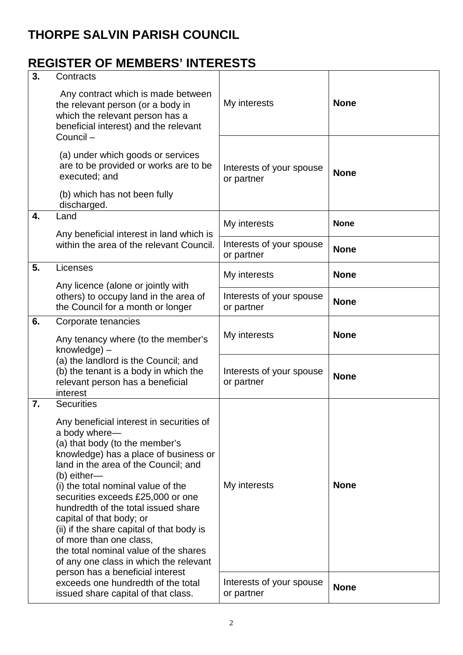## **REGISTER OF MEMBERS' INTERESTS**

| 3. | Contracts                                                                                                                                                                                                                                                                                                                                                                                                                                                                                                                                                     |                                        |             |
|----|---------------------------------------------------------------------------------------------------------------------------------------------------------------------------------------------------------------------------------------------------------------------------------------------------------------------------------------------------------------------------------------------------------------------------------------------------------------------------------------------------------------------------------------------------------------|----------------------------------------|-------------|
|    | Any contract which is made between<br>the relevant person (or a body in<br>which the relevant person has a<br>beneficial interest) and the relevant<br>Council-                                                                                                                                                                                                                                                                                                                                                                                               | My interests                           | <b>None</b> |
|    | (a) under which goods or services<br>are to be provided or works are to be<br>executed; and                                                                                                                                                                                                                                                                                                                                                                                                                                                                   | Interests of your spouse<br>or partner | <b>None</b> |
|    | (b) which has not been fully<br>discharged.                                                                                                                                                                                                                                                                                                                                                                                                                                                                                                                   |                                        |             |
| 4. | Land                                                                                                                                                                                                                                                                                                                                                                                                                                                                                                                                                          | My interests                           | <b>None</b> |
|    | Any beneficial interest in land which is<br>within the area of the relevant Council.                                                                                                                                                                                                                                                                                                                                                                                                                                                                          | Interests of your spouse<br>or partner | <b>None</b> |
| 5. | Licenses                                                                                                                                                                                                                                                                                                                                                                                                                                                                                                                                                      | My interests                           | <b>None</b> |
|    | Any licence (alone or jointly with<br>others) to occupy land in the area of<br>the Council for a month or longer                                                                                                                                                                                                                                                                                                                                                                                                                                              | Interests of your spouse<br>or partner | <b>None</b> |
| 6. | Corporate tenancies<br>Any tenancy where (to the member's<br>knowledge) -                                                                                                                                                                                                                                                                                                                                                                                                                                                                                     | My interests                           | <b>None</b> |
|    | (a) the landlord is the Council; and<br>(b) the tenant is a body in which the<br>relevant person has a beneficial<br>interest                                                                                                                                                                                                                                                                                                                                                                                                                                 | Interests of your spouse<br>or partner | <b>None</b> |
| 7. | <b>Securities</b><br>Any beneficial interest in securities of<br>a body where-<br>(a) that body (to the member's<br>knowledge) has a place of business or<br>land in the area of the Council; and<br>(b) either-<br>(i) the total nominal value of the<br>securities exceeds £25,000 or one<br>hundredth of the total issued share<br>capital of that body; or<br>(ii) if the share capital of that body is<br>of more than one class,<br>the total nominal value of the shares<br>of any one class in which the relevant<br>person has a beneficial interest | My interests                           | <b>None</b> |
|    | exceeds one hundredth of the total<br>issued share capital of that class.                                                                                                                                                                                                                                                                                                                                                                                                                                                                                     | Interests of your spouse<br>or partner | <b>None</b> |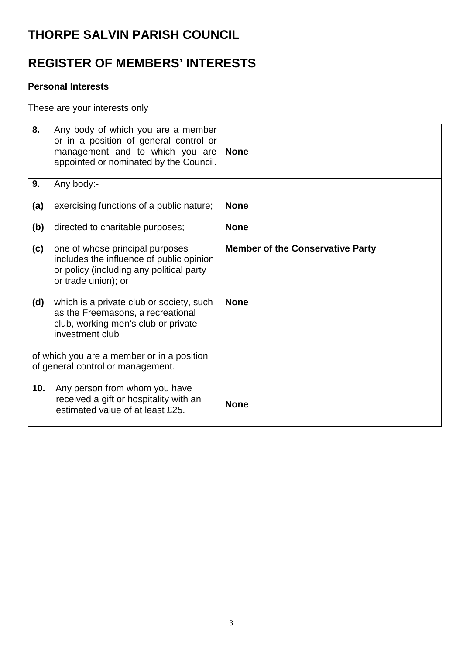## **REGISTER OF MEMBERS' INTERESTS**

#### **Personal Interests**

These are your interests only

| 8.                                                                              | Any body of which you are a member<br>or in a position of general control or<br>management and to which you are<br>appointed or nominated by the Council. | <b>None</b>                             |
|---------------------------------------------------------------------------------|-----------------------------------------------------------------------------------------------------------------------------------------------------------|-----------------------------------------|
| 9.                                                                              | Any body:-                                                                                                                                                |                                         |
| (a)                                                                             | exercising functions of a public nature;                                                                                                                  | <b>None</b>                             |
| (b)                                                                             | directed to charitable purposes;                                                                                                                          | <b>None</b>                             |
| (c)                                                                             | one of whose principal purposes<br>includes the influence of public opinion<br>or policy (including any political party<br>or trade union); or            | <b>Member of the Conservative Party</b> |
| (d)                                                                             | which is a private club or society, such<br>as the Freemasons, a recreational<br>club, working men's club or private<br>investment club                   | <b>None</b>                             |
| of which you are a member or in a position<br>of general control or management. |                                                                                                                                                           |                                         |
| 10.                                                                             | Any person from whom you have<br>received a gift or hospitality with an<br>estimated value of at least £25.                                               | <b>None</b>                             |